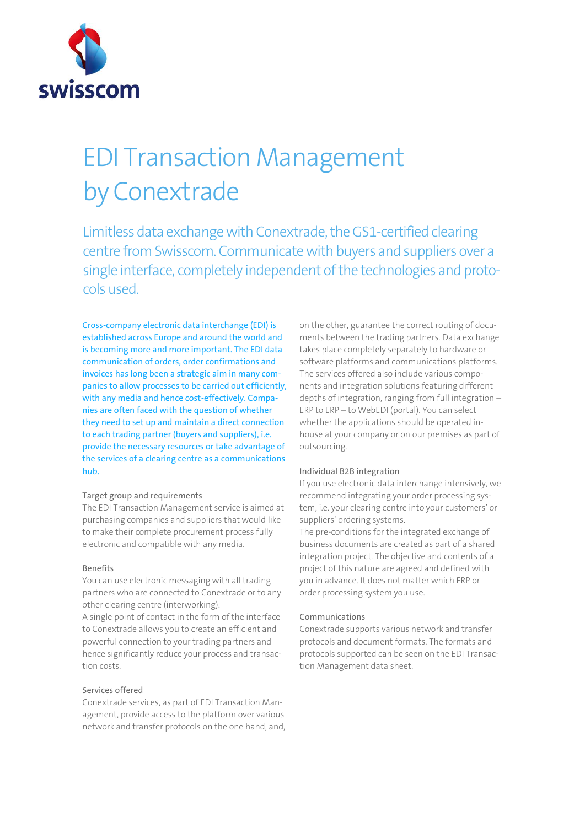

# EDI Transaction Management by Conextrade

Limitless data exchange with Conextrade, the GS1-certified clearing centre from Swisscom. Communicate with buyers and suppliers over a single interface, completely independent of the technologies and protocols used.

Cross-company electronic data interchange (EDI) is established across Europe and around the world and is becoming more and more important. The EDI data communication of orders, order confirmations and invoices has long been a strategic aim in many companies to allow processes to be carried out efficiently, with any media and hence cost-effectively. Companies are often faced with the question of whether they need to set up and maintain a direct connection to each trading partner (buyers and suppliers), i.e. provide the necessary resources or take advantage of the services of a clearing centre as a communications hub.

### Target group and requirements

The EDI Transaction Management service is aimed at purchasing companies and suppliers that would like to make their complete procurement process fully electronic and compatible with any media.

### Benefits

You can use electronic messaging with all trading partners who are connected to Conextrade or to any other clearing centre (interworking).

A single point of contact in the form of the interface to Conextrade allows you to create an efficient and powerful connection to your trading partners and hence significantly reduce your process and transaction costs.

# Services offered

Conextrade services, as part of EDI Transaction Management, provide access to the platform over various network and transfer protocols on the one hand, and,

on the other, guarantee the correct routing of documents between the trading partners. Data exchange takes place completely separately to hardware or software platforms and communications platforms. The services offered also include various components and integration solutions featuring different depths of integration, ranging from full integration – ERP to ERP – to WebEDI (portal). You can select whether the applications should be operated inhouse at your company or on our premises as part of outsourcing.

### Individual B2B integration

If you use electronic data interchange intensively, we recommend integrating your order processing system, i.e. your clearing centre into your customers' or suppliers' ordering systems.

The pre-conditions for the integrated exchange of business documents are created as part of a shared integration project. The objective and contents of a project of this nature are agreed and defined with you in advance. It does not matter which ERP or order processing system you use.

### Communications

Conextrade supports various network and transfer protocols and document formats. The formats and protocols supported can be seen on the EDI Transaction Management data sheet.